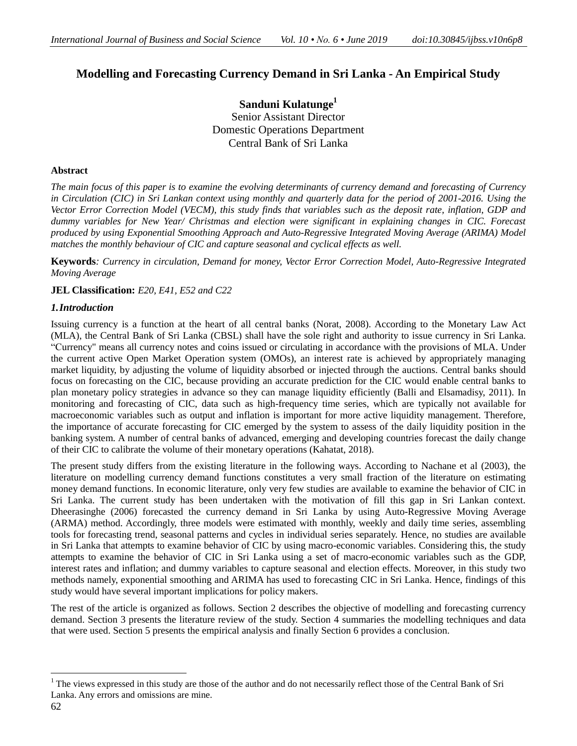# **Modelling and Forecasting Currency Demand in Sri Lanka - An Empirical Study**

**Sanduni Kulatunge<sup>1</sup>** Senior Assistant Director Domestic Operations Department Central Bank of Sri Lanka

# **Abstract**

*The main focus of this paper is to examine the evolving determinants of currency demand and forecasting of Currency in Circulation (CIC) in Sri Lankan context using monthly and quarterly data for the period of 2001-2016. Using the Vector Error Correction Model (VECM), this study finds that variables such as the deposit rate, inflation, GDP and dummy variables for New Year/ Christmas and election were significant in explaining changes in CIC. Forecast produced by using Exponential Smoothing Approach and Auto-Regressive Integrated Moving Average (ARIMA) Model matches the monthly behaviour of CIC and capture seasonal and cyclical effects as well.*

**Keywords***: Currency in circulation, Demand for money, Vector Error Correction Model, Auto-Regressive Integrated Moving Average*

**JEL Classification:** *E20, E41, E52 and C22*

# *1.Introduction*

Issuing currency is a function at the heart of all central banks (Norat, 2008). According to the Monetary Law Act (MLA), the Central Bank of Sri Lanka (CBSL) shall have the sole right and authority to issue currency in Sri Lanka. "Currency" means all currency notes and coins issued or circulating in accordance with the provisions of MLA. Under the current active Open Market Operation system (OMOs), an interest rate is achieved by appropriately managing market liquidity, by adjusting the volume of liquidity absorbed or injected through the auctions. Central banks should focus on forecasting on the CIC, because providing an accurate prediction for the CIC would enable central banks to plan monetary policy strategies in advance so they can manage liquidity efficiently (Balli and Elsamadisy, 2011). In monitoring and forecasting of CIC, data such as high-frequency time series, which are typically not available for macroeconomic variables such as output and inflation is important for more active liquidity management. Therefore, the importance of accurate forecasting for CIC emerged by the system to assess of the daily liquidity position in the banking system. A number of central banks of advanced, emerging and developing countries forecast the daily change of their CIC to calibrate the volume of their monetary operations (Kahatat, 2018).

The present study differs from the existing literature in the following ways. According to Nachane et al (2003), the literature on modelling currency demand functions constitutes a very small fraction of the literature on estimating money demand functions. In economic literature, only very few studies are available to examine the behavior of CIC in Sri Lanka. The current study has been undertaken with the motivation of fill this gap in Sri Lankan context. Dheerasinghe (2006) forecasted the currency demand in Sri Lanka by using Auto-Regressive Moving Average (ARMA) method. Accordingly, three models were estimated with monthly, weekly and daily time series, assembling tools for forecasting trend, seasonal patterns and cycles in individual series separately. Hence, no studies are available in Sri Lanka that attempts to examine behavior of CIC by using macro-economic variables. Considering this, the study attempts to examine the behavior of CIC in Sri Lanka using a set of macro-economic variables such as the GDP, interest rates and inflation; and dummy variables to capture seasonal and election effects. Moreover, in this study two methods namely, exponential smoothing and ARIMA has used to forecasting CIC in Sri Lanka. Hence, findings of this study would have several important implications for policy makers.

The rest of the article is organized as follows. Section 2 describes the objective of modelling and forecasting currency demand. Section 3 presents the literature review of the study. Section 4 summaries the modelling techniques and data that were used. Section 5 presents the empirical analysis and finally Section 6 provides a conclusion.

 $\overline{a}$ 

 $1$  The views expressed in this study are those of the author and do not necessarily reflect those of the Central Bank of Sri Lanka. Any errors and omissions are mine.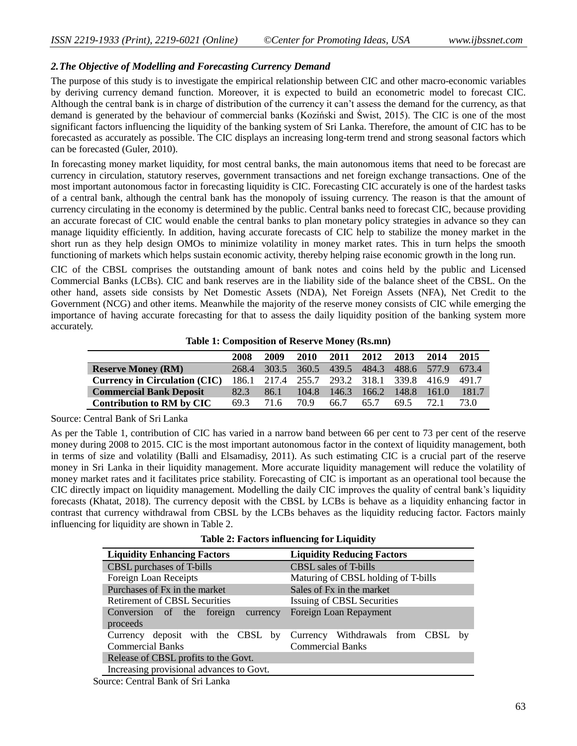# *2.The Objective of Modelling and Forecasting Currency Demand*

The purpose of this study is to investigate the empirical relationship between CIC and other macro-economic variables by deriving currency demand function. Moreover, it is expected to build an econometric model to forecast CIC. Although the central bank is in charge of distribution of the currency it can't assess the demand for the currency, as that demand is generated by the behaviour of commercial banks (Koziński and Świst, 2015). The CIC is one of the most significant factors influencing the liquidity of the banking system of Sri Lanka. Therefore, the amount of CIC has to be forecasted as accurately as possible. The CIC displays an increasing long-term trend and strong seasonal factors which can be forecasted (Guler, 2010).

In forecasting money market liquidity, for most central banks, the main autonomous items that need to be forecast are currency in circulation, statutory reserves, government transactions and net foreign exchange transactions. One of the most important autonomous factor in forecasting liquidity is CIC. Forecasting CIC accurately is one of the hardest tasks of a central bank, although the central bank has the monopoly of issuing currency. The reason is that the amount of currency circulating in the economy is determined by the public. Central banks need to forecast CIC, because providing an accurate forecast of CIC would enable the central banks to plan monetary policy strategies in advance so they can manage liquidity efficiently. In addition, having accurate forecasts of CIC help to stabilize the money market in the short run as they help design OMOs to minimize volatility in money market rates. This in turn helps the smooth functioning of markets which helps sustain economic activity, thereby helping raise economic growth in the long run.

CIC of the CBSL comprises the outstanding amount of bank notes and coins held by the public and Licensed Commercial Banks (LCBs). CIC and bank reserves are in the liability side of the balance sheet of the CBSL. On the other hand, assets side consists by Net Domestic Assets (NDA), Net Foreign Assets (NFA), Net Credit to the Government (NCG) and other items. Meanwhile the majority of the reserve money consists of CIC while emerging the importance of having accurate forecasting for that to assess the daily liquidity position of the banking system more accurately.

| <b>Table 1: Composition of Reserve Money (Rs.mn)</b> |  |  |
|------------------------------------------------------|--|--|
|------------------------------------------------------|--|--|

|                                      | 2008  | 2009  | 2010  | 2011  | 2012                                | 2013 | 2014        | 2015  |
|--------------------------------------|-------|-------|-------|-------|-------------------------------------|------|-------------|-------|
| <b>Reserve Money (RM)</b>            | 268.4 | 303.5 | 360.5 | 439.5 | 484.3                               |      | 488.6 577.9 | 673.4 |
| <b>Currency in Circulation (CIC)</b> | 186.1 |       |       |       | 217.4 255.7 293.2 318.1 339.8 416.9 |      |             | 491.7 |
| <b>Commercial Bank Deposit</b>       | 82.3  | 86.1  | 104.8 |       | 146.3 166.2 148.8                   |      | 161.0       | 181.7 |
| Contribution to RM by CIC            | 69.3  | 71.6  | 70.9  | 66.7  | 65.7                                | 69.5 | 72.1        | 73 O  |

Source: Central Bank of Sri Lanka

As per the Table 1, contribution of CIC has varied in a narrow band between 66 per cent to 73 per cent of the reserve money during 2008 to 2015. CIC is the most important autonomous factor in the context of liquidity management, both in terms of size and volatility (Balli and Elsamadisy, 2011). As such estimating CIC is a crucial part of the reserve money in Sri Lanka in their liquidity management. More accurate liquidity management will reduce the volatility of money market rates and it facilitates price stability. Forecasting of CIC is important as an operational tool because the CIC directly impact on liquidity management. Modelling the daily CIC improves the quality of central bank's liquidity forecasts (Khatat, 2018). The currency deposit with the CBSL by LCBs is behave as a liquidity enhancing factor in contrast that currency withdrawal from CBSL by the LCBs behaves as the liquidity reducing factor. Factors mainly influencing for liquidity are shown in Table 2.

**Table 2: Factors influencing for Liquidity**

| <b>Liquidity Enhancing Factors</b>                           | <b>Liquidity Reducing Factors</b>                            |
|--------------------------------------------------------------|--------------------------------------------------------------|
| CBSL purchases of T-bills                                    | CBSL sales of T-bills                                        |
| Foreign Loan Receipts                                        | Maturing of CBSL holding of T-bills                          |
| Purchases of Fx in the market                                | Sales of Fx in the market                                    |
| <b>Retirement of CBSL Securities</b>                         | Issuing of CBSL Securities                                   |
| Conversion of the foreign currency<br>proceeds               | Foreign Loan Repayment                                       |
| Currency deposit with the CBSL by<br><b>Commercial Banks</b> | Currency Withdrawals from CBSL by<br><b>Commercial Banks</b> |
| Release of CBSL profits to the Govt.                         |                                                              |
| Increasing provisional advances to Govt.                     |                                                              |

Source: Central Bank of Sri Lanka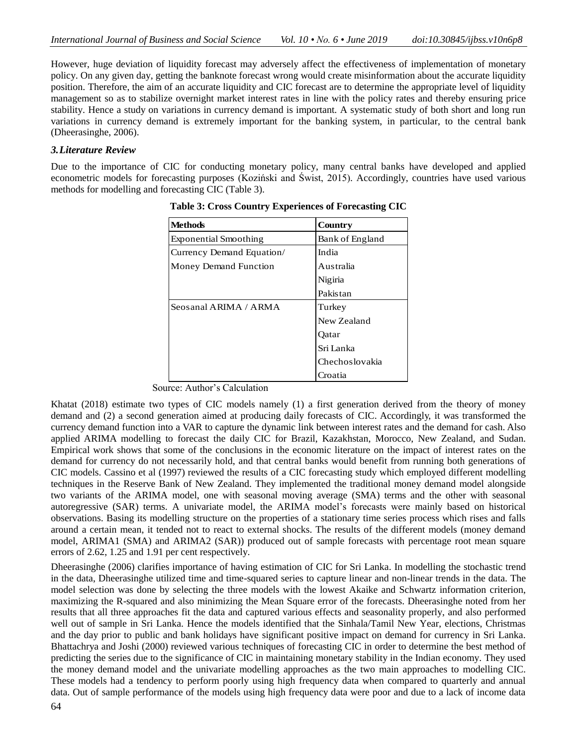However, huge deviation of liquidity forecast may adversely affect the effectiveness of implementation of monetary policy. On any given day, getting the banknote forecast wrong would create misinformation about the accurate liquidity position. Therefore, the aim of an accurate liquidity and CIC forecast are to determine the appropriate level of liquidity management so as to stabilize overnight market interest rates in line with the policy rates and thereby ensuring price stability. Hence a study on variations in currency demand is important. A systematic study of both short and long run variations in currency demand is extremely important for the banking system, in particular, to the central bank (Dheerasinghe, 2006).

# *3.Literature Review*

Due to the importance of CIC for conducting monetary policy, many central banks have developed and applied econometric models for forecasting purposes (Koziński and Świst, 2015). Accordingly, countries have used various methods for modelling and forecasting CIC (Table 3).

| <b>Methods</b>               | Country         |
|------------------------------|-----------------|
| <b>Exponential Smoothing</b> | Bank of England |
| Currency Demand Equation/    | India           |
| Money Demand Function        | Australia       |
|                              | Nigiria         |
|                              | Pakistan        |
| Seosanal ARIMA / ARMA        | Turkey          |
|                              | New Zealand     |
|                              | Oatar           |
|                              | Sri Lanka       |
|                              | Chechoslovakia  |
|                              | Croatia         |

**Table 3: Cross Country Experiences of Forecasting CIC**

Source: Author's Calculation

Khatat (2018) estimate two types of CIC models namely (1) a first generation derived from the theory of money demand and (2) a second generation aimed at producing daily forecasts of CIC. Accordingly, it was transformed the currency demand function into a VAR to capture the dynamic link between interest rates and the demand for cash. Also applied ARIMA modelling to forecast the daily CIC for Brazil, Kazakhstan, Morocco, New Zealand, and Sudan. Empirical work shows that some of the conclusions in the economic literature on the impact of interest rates on the demand for currency do not necessarily hold, and that central banks would benefit from running both generations of CIC models. Cassino et al (1997) reviewed the results of a CIC forecasting study which employed different modelling techniques in the Reserve Bank of New Zealand. They implemented the traditional money demand model alongside two variants of the ARIMA model, one with seasonal moving average (SMA) terms and the other with seasonal autoregressive (SAR) terms. A univariate model, the ARIMA model's forecasts were mainly based on historical observations. Basing its modelling structure on the properties of a stationary time series process which rises and falls around a certain mean, it tended not to react to external shocks. The results of the different models (money demand model, ARIMA1 (SMA) and ARIMA2 (SAR)) produced out of sample forecasts with percentage root mean square errors of 2.62, 1.25 and 1.91 per cent respectively.

Dheerasinghe (2006) clarifies importance of having estimation of CIC for Sri Lanka. In modelling the stochastic trend in the data, Dheerasinghe utilized time and time-squared series to capture linear and non-linear trends in the data. The model selection was done by selecting the three models with the lowest Akaike and Schwartz information criterion, maximizing the R-squared and also minimizing the Mean Square error of the forecasts. Dheerasinghe noted from her results that all three approaches fit the data and captured various effects and seasonality properly, and also performed well out of sample in Sri Lanka. Hence the models identified that the Sinhala/Tamil New Year, elections, Christmas and the day prior to public and bank holidays have significant positive impact on demand for currency in Sri Lanka. Bhattachrya and Joshi (2000) reviewed various techniques of forecasting CIC in order to determine the best method of predicting the series due to the significance of CIC in maintaining monetary stability in the Indian economy. They used the money demand model and the univariate modelling approaches as the two main approaches to modelling CIC. These models had a tendency to perform poorly using high frequency data when compared to quarterly and annual data. Out of sample performance of the models using high frequency data were poor and due to a lack of income data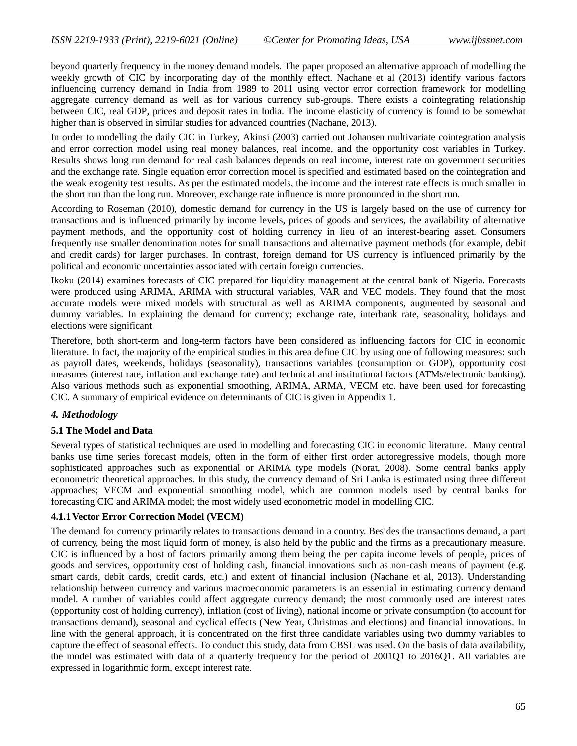beyond quarterly frequency in the money demand models. The paper proposed an alternative approach of modelling the weekly growth of CIC by incorporating day of the monthly effect. Nachane et al (2013) identify various factors influencing currency demand in India from 1989 to 2011 using vector error correction framework for modelling aggregate currency demand as well as for various currency sub-groups. There exists a cointegrating relationship between CIC, real GDP, prices and deposit rates in India. The income elasticity of currency is found to be somewhat higher than is observed in similar studies for advanced countries (Nachane, 2013).

In order to modelling the daily CIC in Turkey, Akinsi (2003) carried out Johansen multivariate cointegration analysis and error correction model using real money balances, real income, and the opportunity cost variables in Turkey. Results shows long run demand for real cash balances depends on real income, interest rate on government securities and the exchange rate. Single equation error correction model is specified and estimated based on the cointegration and the weak exogenity test results. As per the estimated models, the income and the interest rate effects is much smaller in the short run than the long run. Moreover, exchange rate influence is more pronounced in the short run.

According to Roseman (2010), domestic demand for currency in the US is largely based on the use of currency for transactions and is influenced primarily by income levels, prices of goods and services, the availability of alternative payment methods, and the opportunity cost of holding currency in lieu of an interest-bearing asset. Consumers frequently use smaller denomination notes for small transactions and alternative payment methods (for example, debit and credit cards) for larger purchases. In contrast, foreign demand for US currency is influenced primarily by the political and economic uncertainties associated with certain foreign currencies.

Ikoku (2014) examines forecasts of CIC prepared for liquidity management at the central bank of Nigeria. Forecasts were produced using ARIMA, ARIMA with structural variables, VAR and VEC models. They found that the most accurate models were mixed models with structural as well as ARIMA components, augmented by seasonal and dummy variables. In explaining the demand for currency; exchange rate, interbank rate, seasonality, holidays and elections were significant

Therefore, both short-term and long-term factors have been considered as influencing factors for CIC in economic literature. In fact, the majority of the empirical studies in this area define CIC by using one of following measures: such as payroll dates, weekends, holidays (seasonality), transactions variables (consumption or GDP), opportunity cost measures (interest rate, inflation and exchange rate) and technical and institutional factors (ATMs/electronic banking). Also various methods such as exponential smoothing, ARIMA, ARMA, VECM etc. have been used for forecasting CIC. A summary of empirical evidence on determinants of CIC is given in Appendix 1.

# *4. Methodology*

# **5.1 The Model and Data**

Several types of statistical techniques are used in modelling and forecasting CIC in economic literature. Many central banks use time series forecast models, often in the form of either first order autoregressive models, though more sophisticated approaches such as exponential or ARIMA type models (Norat, 2008). Some central banks apply econometric theoretical approaches. In this study, the currency demand of Sri Lanka is estimated using three different approaches; VECM and exponential smoothing model, which are common models used by central banks for forecasting CIC and ARIMA model; the most widely used econometric model in modelling CIC.

## **4.1.1Vector Error Correction Model (VECM)**

The demand for currency primarily relates to transactions demand in a country. Besides the transactions demand, a part of currency, being the most liquid form of money, is also held by the public and the firms as a precautionary measure. CIC is influenced by a host of factors primarily among them being the per capita income levels of people, prices of goods and services, opportunity cost of holding cash, financial innovations such as non-cash means of payment (e.g. smart cards, debit cards, credit cards, etc.) and extent of financial inclusion (Nachane et al, 2013). Understanding relationship between currency and various macroeconomic parameters is an essential in estimating currency demand model. A number of variables could affect aggregate currency demand; the most commonly used are interest rates (opportunity cost of holding currency), inflation (cost of living), national income or private consumption (to account for transactions demand), seasonal and cyclical effects (New Year, Christmas and elections) and financial innovations. In line with the general approach, it is concentrated on the first three candidate variables using two dummy variables to capture the effect of seasonal effects. To conduct this study, data from CBSL was used. On the basis of data availability, the model was estimated with data of a quarterly frequency for the period of 2001Q1 to 2016Q1. All variables are expressed in logarithmic form, except interest rate.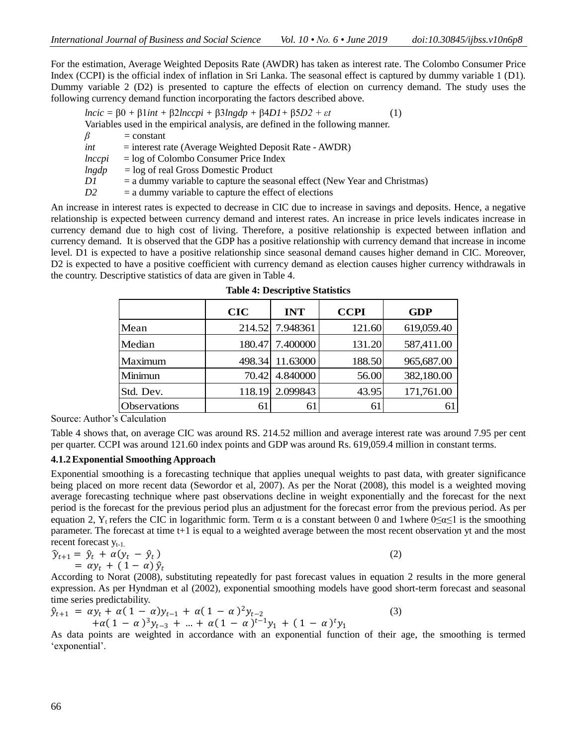For the estimation, Average Weighted Deposits Rate (AWDR) has taken as interest rate. The Colombo Consumer Price Index (CCPI) is the official index of inflation in Sri Lanka. The seasonal effect is captured by dummy variable 1 (D1). Dummy variable 2 (D2) is presented to capture the effects of election on currency demand. The study uses the following currency demand function incorporating the factors described above.

| Variables used in the empirical analysis, are defined in the following manner.     |  |
|------------------------------------------------------------------------------------|--|
|                                                                                    |  |
| $\beta$<br>$=$ constant                                                            |  |
| $=$ interest rate (Average Weighted Deposit Rate - AWDR)<br>int                    |  |
| $=$ log of Colombo Consumer Price Index<br>lnccpi                                  |  |
| $ln\$ {gdp}<br>$=$ log of real Gross Domestic Product                              |  |
| $=$ a dummy variable to capture the seasonal effect (New Year and Christmas)<br>D1 |  |
| $=$ a dummy variable to capture the effect of elections<br>D <sub>2</sub>          |  |

An increase in interest rates is expected to decrease in CIC due to increase in savings and deposits. Hence, a negative relationship is expected between currency demand and interest rates. An increase in price levels indicates increase in currency demand due to high cost of living. Therefore, a positive relationship is expected between inflation and currency demand. It is observed that the GDP has a positive relationship with currency demand that increase in income level. D1 is expected to have a positive relationship since seasonal demand causes higher demand in CIC. Moreover, D2 is expected to have a positive coefficient with currency demand as election causes higher currency withdrawals in the country. Descriptive statistics of data are given in Table 4.

|                     | <b>CIC</b> | <b>INT</b>      | <b>CCPI</b> | <b>GDP</b> |
|---------------------|------------|-----------------|-------------|------------|
| Mean                |            | 214.52 7.948361 | 121.60      | 619,059.40 |
| Median              |            | 180.47 7.400000 | 131.20      | 587,411.00 |
| Maximum             | 498.34     | 11.63000        | 188.50      | 965,687.00 |
| Minimun             | 70.42      | 4.840000        | 56.00       | 382,180.00 |
| Std. Dev.           |            | 118.19 2.099843 | 43.95       | 171,761.00 |
| <b>Observations</b> | 61         | 61              | 61          |            |

**Table 4: Descriptive Statistics**

Source: Author's Calculation

Table 4 shows that, on average CIC was around RS. 214.52 million and average interest rate was around 7.95 per cent per quarter. CCPI was around 121.60 index points and GDP was around Rs. 619,059.4 million in constant terms.

# **4.1.2Exponential Smoothing Approach**

Exponential smoothing is a forecasting technique that applies unequal weights to past data, with greater significance being placed on more recent data (Sewordor et al, 2007). As per the Norat (2008), this model is a weighted moving average forecasting technique where past observations decline in weight exponentially and the forecast for the next period is the forecast for the previous period plus an adjustment for the forecast error from the previous period. As per equation 2, Y<sub>t</sub> refers the CIC in logarithmic form. Term  $\alpha$  is a constant between 0 and 1where 0≤α≤1 is the smoothing parameter. The forecast at time t+1 is equal to a weighted average between the most recent observation yt and the most recent forecast  $V_{t-1}$ .

$$
\begin{aligned} \widehat{\mathbf{y}}_{t+1} &= \widehat{\mathbf{y}}_t + \alpha (\mathbf{y}_t - \widehat{\mathbf{y}}_t) \\ &= \alpha \mathbf{y}_t + (1 - \alpha) \, \widehat{\mathbf{y}}_t \end{aligned} \tag{2}
$$

According to Norat (2008), substituting repeatedly for past forecast values in equation 2 results in the more general expression. As per Hyndman et al (2002), exponential smoothing models have good short-term forecast and seasonal time series predictability.

(3)

$$
\hat{y}_{t+1} = \alpha y_t + \alpha (1 - \alpha) y_{t-1} + \alpha (1 - \alpha)^2 y_{t-2} \n+ \alpha (1 - \alpha)^3 y_{t-3} + \dots + \alpha (1 - \alpha)^{t-1} y_1 + (1 - \alpha)^t y_1
$$

As data points are weighted in accordance with an exponential function of their age, the smoothing is termed 'exponential'.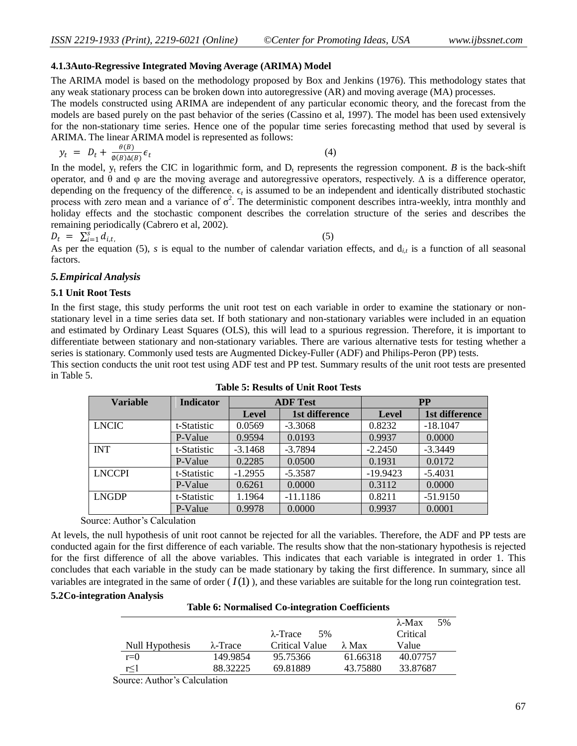#### **4.1.3Auto-Regressive Integrated Moving Average (ARIMA) Model**

The ARIMA model is based on the methodology proposed by Box and Jenkins (1976). This methodology states that any weak stationary process can be broken down into autoregressive (AR) and moving average (MA) processes. The models constructed using ARIMA are independent of any particular economic theory, and the forecast from the

models are based purely on the past behavior of the series (Cassino et al, 1997). The model has been used extensively for the non-stationary time series. Hence one of the popular time series forecasting method that used by several is ARIMA. The linear ARIMA model is represented as follows:

$$
y_t = D_t + \frac{\theta(B)}{\phi(B)\Delta(B)} \epsilon_t \tag{4}
$$

In the model,  $y_t$  refers the CIC in logarithmic form, and  $D_t$  represents the regression component. *B* is the back-shift operator, and θ and φ are the moving average and autoregressive operators, respectively. ∆ is a difference operator, depending on the frequency of the difference.  $\epsilon_t$  is assumed to be an independent and identically distributed stochastic process with zero mean and a variance of  $\sigma^2$ . The deterministic component describes intra-weekly, intra monthly and holiday effects and the stochastic component describes the correlation structure of the series and describes the remaining periodically (Cabrero et al, 2002).

$$
D_t = \sum_{i=1}^s d_{i,t}
$$

(5)

 $L_t = \sum_{i=1}^t a_{i,t}$ ,  $\sum_{i=1}^t a_{i,t}$ ,  $\sum_{i=1}^t a_{i,t}$  are the equation (5), *s* is equal to the number of calendar variation effects, and d<sub>it</sub> is a function of all seasonal factors.

## *5.Empirical Analysis*

## **5.1 Unit Root Tests**

In the first stage, this study performs the unit root test on each variable in order to examine the stationary or nonstationary level in a time series data set. If both stationary and non-stationary variables were included in an equation and estimated by Ordinary Least Squares (OLS), this will lead to a spurious regression. Therefore, it is important to differentiate between stationary and non-stationary variables. There are various alternative tests for testing whether a series is stationary. Commonly used tests are Augmented Dickey-Fuller (ADF) and Philips-Peron (PP) tests.

This section conducts the unit root test using ADF test and PP test. Summary results of the unit root tests are presented in Table 5.

| <b>Variable</b> | <b>Indicator</b> | <b>ADF</b> Test |                |              | <b>PP</b>      |
|-----------------|------------------|-----------------|----------------|--------------|----------------|
|                 |                  | <b>Level</b>    | 1st difference | <b>Level</b> | 1st difference |
| <b>LNCIC</b>    | t-Statistic      | 0.0569          | $-3.3068$      | 0.8232       | $-18.1047$     |
|                 | P-Value          | 0.9594          | 0.0193         | 0.9937       | 0.0000         |
| <b>INT</b>      | t-Statistic      | $-3.1468$       | $-3.7894$      | $-2.2450$    | $-3.3449$      |
|                 | P-Value          | 0.2285          | 0.0500         | 0.1931       | 0.0172         |
| <b>LNCCPI</b>   | t-Statistic      | $-1.2955$       | $-5.3587$      | $-19.9423$   | $-5.4031$      |
|                 | P-Value          | 0.6261          | 0.0000         | 0.3112       | 0.0000         |
| <b>LNGDP</b>    | t-Statistic      | 1.1964          | $-11.1186$     | 0.8211       | $-51.9150$     |
|                 | P-Value          | 0.9978          | 0.0000         | 0.9937       | 0.0001         |

**Table 5: Results of Unit Root Tests**

Source: Author's Calculation

At levels, the null hypothesis of unit root cannot be rejected for all the variables. Therefore, the ADF and PP tests are conducted again for the first difference of each variable. The results show that the non-stationary hypothesis is rejected for the first difference of all the above variables. This indicates that each variable is integrated in order 1. This concludes that each variable in the study can be made stationary by taking the first difference. In summary, since all variables are integrated in the same of order  $(I(1))$ , and these variables are suitable for the long run cointegration test. **5.2Co-integration Analysis**

**Table 6: Normalised Co-integration Coefficients**

|                 |                  |                         |               | $\lambda$ -Max<br>5% |
|-----------------|------------------|-------------------------|---------------|----------------------|
|                 |                  | $\lambda$ -Trace<br>.5% |               | Critical             |
| Null Hypothesis | $\lambda$ -Trace | <b>Critical Value</b>   | $\lambda$ Max | Value                |
| $r=0$           | 149.9854         | 95.75366                | 61.66318      | 40.07757             |
| r<1             | 88.32225         | 69.81889                | 43.75880      | 33.87687             |

Source: Author's Calculation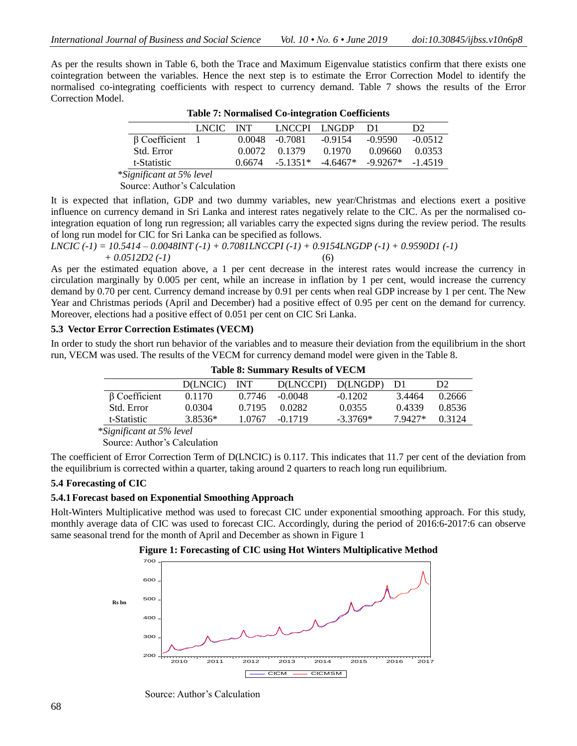As per the results shown in Table 6, both the Trace and Maximum Eigenvalue statistics confirm that there exists one cointegration between the variables. Hence the next step is to estimate the Error Correction Model to identify the normalised co-integrating coefficients with respect to currency demand. Table 7 shows the results of the Error Correction Model.

|                       | LNCIC - | <b>INT</b> |                   | LNCCPL LNGDP | - 121                           | D <sub>2</sub> |
|-----------------------|---------|------------|-------------------|--------------|---------------------------------|----------------|
| $\beta$ Coefficient 1 |         |            | $0.0048 - 0.7081$ | $-0.9154$    | -0.9590                         | $-0.0512$      |
| Std. Error            |         | 0.0072     | 0.1379            | 0.1970       | 0.09660                         | 0.0353         |
| t-Statistic           |         | (16674)    | $-5.1351*$        |              | $-4.6467*$ $-9.9267*$ $-1.4519$ |                |
|                       |         |            |                   |              |                                 |                |

**Table 7: Normalised Co-integration Coefficients**

 \**Significant at 5% level* Source: Author's Calculation

It is expected that inflation, GDP and two dummy variables, new year/Christmas and elections exert a positive influence on currency demand in Sri Lanka and interest rates negatively relate to the CIC. As per the normalised cointegration equation of long run regression; all variables carry the expected signs during the review period. The results of long run model for CIC for Sri Lanka can be specified as follows.

*LNCIC (-1) = 10.5414 – 0.0048INT (-1) + 0.7081LNCCPI (-1) + 0.9154LNGDP (-1) + 0.9590D1 (-1)*   $+ 0.0512D2$  (-1) (6)

As per the estimated equation above, a 1 per cent decrease in the interest rates would increase the currency in circulation marginally by 0.005 per cent, while an increase in inflation by 1 per cent, would increase the currency demand by 0.70 per cent. Currency demand increase by 0.91 per cents when real GDP increase by 1 per cent. The New Year and Christmas periods (April and December) had a positive effect of 0.95 per cent on the demand for currency. Moreover, elections had a positive effect of 0.051 per cent on CIC Sri Lanka.

## **5.3 Vector Error Correction Estimates (VECM)**

In order to study the short run behavior of the variables and to measure their deviation from the equilibrium in the short run, VECM was used. The results of the VECM for currency demand model were given in the Table 8.

**Table 8: Summary Results of VECM**

|                     | D(LNCIC) | <b>INT</b> | <b>DILNCCPI</b> | D(LNGDP)   |        | D <sub>2</sub> |
|---------------------|----------|------------|-----------------|------------|--------|----------------|
| $\beta$ Coefficient | 0.1170   | 0.7746     | -0.0048         | $-0.1202$  | 3.4464 | 0.2666         |
| Std. Error          | 0.0304   | 0.7195     | 0.0282          | 0.0355     | 0.4339 | 0.8536         |
| t-Statistic         | 3.8536*  | 1 0767     | $-0.1719$       | $-3.3769*$ | 79427* | 0.3124         |

\**Significant at 5% level*

Source: Author's Calculation

The coefficient of Error Correction Term of D(LNCIC) is 0.117. This indicates that 11.7 per cent of the deviation from the equilibrium is corrected within a quarter, taking around 2 quarters to reach long run equilibrium.

# **5.4 Forecasting of CIC**

## **5.4.1Forecast based on Exponential Smoothing Approach**

Holt-Winters Multiplicative method was used to forecast CIC under exponential smoothing approach. For this study, monthly average data of CIC was used to forecast CIC. Accordingly, during the period of 2016:6-2017:6 can observe same seasonal trend for the month of April and December as shown in Figure 1



**Figure 1: Forecasting of CIC using Hot Winters Multiplicative Method**

Source: Author's Calculation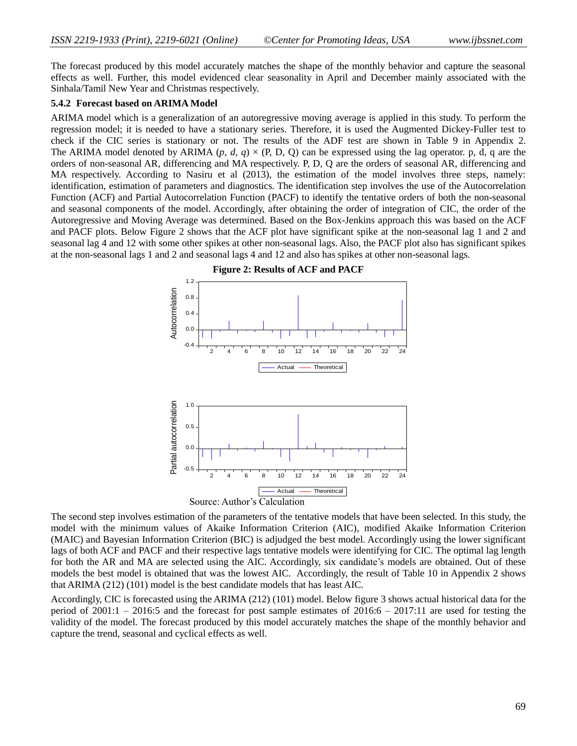The forecast produced by this model accurately matches the shape of the monthly behavior and capture the seasonal effects as well. Further, this model evidenced clear seasonality in April and December mainly associated with the Sinhala/Tamil New Year and Christmas respectively.

#### **5.4.2 Forecast based on ARIMA Model**

ARIMA model which is a generalization of an autoregressive moving average is applied in this study. To perform the regression model; it is needed to have a stationary series. Therefore, it is used the Augmented Dickey-Fuller test to check if the CIC series is stationary or not. The results of the ADF test are shown in Table 9 in Appendix 2. The ARIMA model denoted by ARIMA (*p, d, q*)  $\times$  (P, D, Q) can be expressed using the lag operator. p, d, q are the orders of non-seasonal AR, differencing and MA respectively. P, D, Q are the orders of seasonal AR, differencing and MA respectively. According to Nasiru et al (2013), the estimation of the model involves three steps, namely: identification, estimation of parameters and diagnostics. The identification step involves the use of the Autocorrelation Function (ACF) and Partial Autocorrelation Function (PACF) to identify the tentative orders of both the non-seasonal and seasonal components of the model. Accordingly, after obtaining the order of integration of CIC, the order of the Autoregressive and Moving Average was determined. Based on the Box-Jenkins approach this was based on the ACF and PACF plots. Below Figure 2 shows that the ACF plot have significant spike at the non-seasonal lag 1 and 2 and seasonal lag 4 and 12 with some other spikes at other non-seasonal lags. Also, the PACF plot also has significant spikes at the non-seasonal lags 1 and 2 and seasonal lags 4 and 12 and also has spikes at other non-seasonal lags.



**Figure 2: Results of ACF and PACF**

The second step involves estimation of the parameters of the tentative models that have been selected. In this study, the model with the minimum values of Akaike Information Criterion (AIC), modified Akaike Information Criterion (MAIC) and Bayesian Information Criterion (BIC) is adjudged the best model. Accordingly using the lower significant lags of both ACF and PACF and their respective lags tentative models were identifying for CIC. The optimal lag length for both the AR and MA are selected using the AIC. Accordingly, six candidate's models are obtained. Out of these models the best model is obtained that was the lowest AIC. Accordingly, the result of Table 10 in Appendix 2 shows that ARIMA (212) (101) model is the best candidate models that has least AIC.

Accordingly, CIC is forecasted using the ARIMA (212) (101) model. Below figure 3 shows actual historical data for the period of  $2001:1 - 2016:5$  and the forecast for post sample estimates of  $2016:6 - 2017:11$  are used for testing the validity of the model. The forecast produced by this model accurately matches the shape of the monthly behavior and capture the trend, seasonal and cyclical effects as well.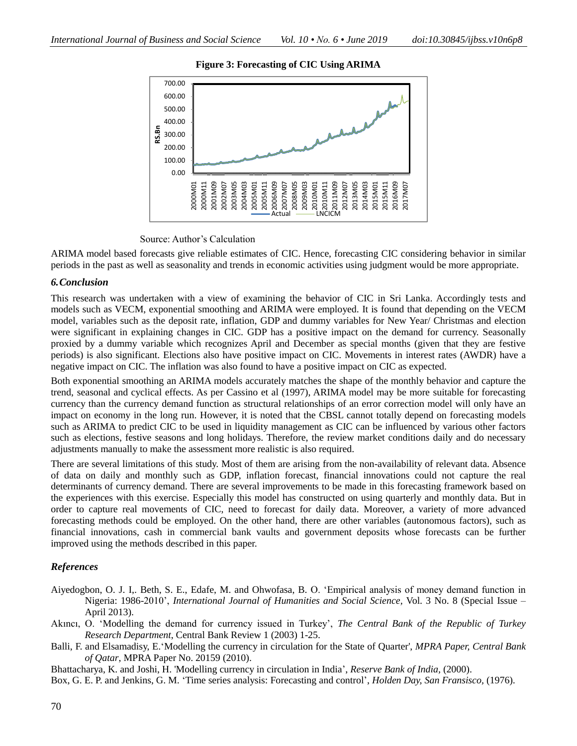



Source: Author's Calculation

ARIMA model based forecasts give reliable estimates of CIC. Hence, forecasting CIC considering behavior in similar periods in the past as well as seasonality and trends in economic activities using judgment would be more appropriate.

## *6.Conclusion*

This research was undertaken with a view of examining the behavior of CIC in Sri Lanka. Accordingly tests and models such as VECM, exponential smoothing and ARIMA were employed. It is found that depending on the VECM model, variables such as the deposit rate, inflation, GDP and dummy variables for New Year/ Christmas and election were significant in explaining changes in CIC. GDP has a positive impact on the demand for currency. Seasonally proxied by a dummy variable which recognizes April and December as special months (given that they are festive periods) is also significant. Elections also have positive impact on CIC. Movements in interest rates (AWDR) have a negative impact on CIC. The inflation was also found to have a positive impact on CIC as expected.

Both exponential smoothing an ARIMA models accurately matches the shape of the monthly behavior and capture the trend, seasonal and cyclical effects. As per Cassino et al (1997), ARIMA model may be more suitable for forecasting currency than the currency demand function as structural relationships of an error correction model will only have an impact on economy in the long run. However, it is noted that the CBSL cannot totally depend on forecasting models such as ARIMA to predict CIC to be used in liquidity management as CIC can be influenced by various other factors such as elections, festive seasons and long holidays. Therefore, the review market conditions daily and do necessary adjustments manually to make the assessment more realistic is also required.

There are several limitations of this study. Most of them are arising from the non-availability of relevant data. Absence of data on daily and monthly such as GDP, inflation forecast, financial innovations could not capture the real determinants of currency demand. There are several improvements to be made in this forecasting framework based on the experiences with this exercise. Especially this model has constructed on using quarterly and monthly data. But in order to capture real movements of CIC, need to forecast for daily data. Moreover, a variety of more advanced forecasting methods could be employed. On the other hand, there are other variables (autonomous factors), such as financial innovations, cash in commercial bank vaults and government deposits whose forecasts can be further improved using the methods described in this paper.

# *References*

- Aiyedogbon, O. J. I,. Beth, S. E., Edafe, M. and Ohwofasa, B. O. 'Empirical analysis of money demand function in Nigeria: 1986-2010', *International Journal of Humanities and Social Science,* Vol. 3 No. 8 (Special Issue – April 2013).
- Akıncı, O. 'Modelling the demand for currency issued in Turkey', *The Central Bank of the Republic of Turkey Research Department*, Central Bank Review 1 (2003) 1-25.
- Balli, F. and Elsamadisy, E.'Modelling the currency in circulation for the State of Quarter', *MPRA Paper, Central Bank of Qatar*, MPRA Paper No. 20159 (2010).
- Bhattacharya, K. and Joshi, H. 'Modelling currency in circulation in India', *Reserve Bank of India,* (2000).

Box, G. E. P. and Jenkins, G. M. 'Time series analysis: Forecasting and control', *Holden Day, San Fransisco,* (1976).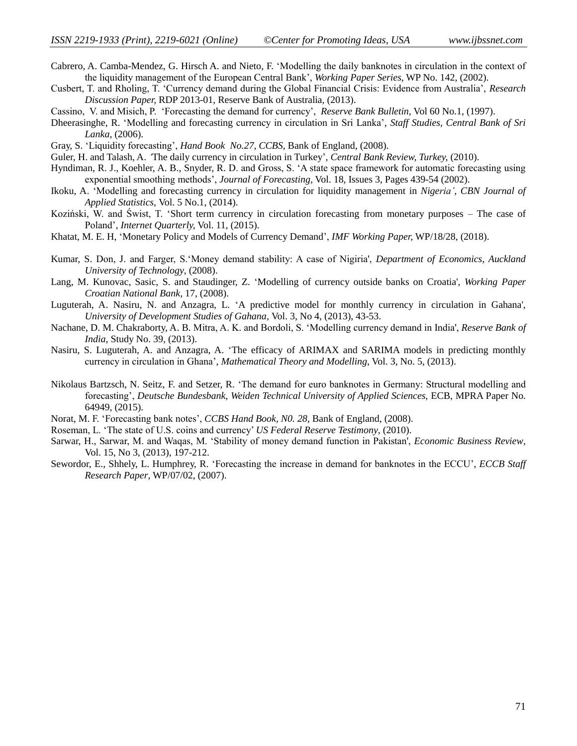- Cabrero, A. Camba-Mendez, G. Hirsch A. and Nieto, F. 'Modelling the daily banknotes in circulation in the context of the liquidity management of the European Central Bank', *Working Paper Series*, WP No. 142, (2002).
- Cusbert, T. and Rholing, T. 'Currency demand during the Global Financial Crisis: Evidence from Australia', *Research Discussion Paper,* RDP 2013-01, Reserve Bank of Australia, (2013).
- Cassino, V. and Misich, P. 'Forecasting the demand for currency', *Reserve Bank Bulletin*, Vol 60 No.1, (1997).
- Dheerasinghe, R. 'Modelling and forecasting currency in circulation in Sri Lanka', *Staff Studies, Central Bank of Sri Lanka,* (2006).
- Gray, S. 'Liquidity forecasting', *Hand Book No.27, CCBS*, Bank of England, (2008).
- Guler, H. and Talash, A. *'*The daily currency in circulation in Turkey', *Central Bank Review, Turkey,* (2010).
- Hyndiman, R. J., Koehler, A. B., Snyder, R. D. and Gross, S. 'A state space framework for automatic forecasting using exponential smoothing methods', *Journal of Forecasting,* Vol. 18, Issues 3, Pages 439-54 (2002).
- Ikoku, A. 'Modelling and forecasting currency in circulation for liquidity management in *Nigeria', CBN Journal of Applied Statistics,* Vol. 5 No.1, (2014).
- Koziński, W. and Świst, T. 'Short term currency in circulation forecasting from monetary purposes The case of Poland', *Internet Quarterly,* Vol. 11, (2015).
- Khatat, M. E. H, 'Monetary Policy and Models of Currency Demand', *IMF Working Paper,* WP/18/28, (2018).
- Kumar, S. Don, J. and Farger, S.'Money demand stability: A case of Nigiria', *Department of Economics, Auckland University of Technology*, (2008).
- Lang, M. Kunovac, Sasic, S. and Staudinger, Z. 'Modelling of currency outside banks on Croatia', *Working Paper Croatian National Bank,* 17, (2008).
- Luguterah, A. Nasiru, N. and Anzagra, L. 'A predictive model for monthly currency in circulation in Gahana', *University of Development Studies of Gahana,* Vol. 3, No 4, (2013), 43-53.
- Nachane, D. M. Chakraborty, A. B. Mitra, A. K. and Bordoli, S. 'Modelling currency demand in India', *Reserve Bank of India*, Study No. 39, (2013).
- Nasiru, S. Luguterah, A. and Anzagra, A. 'The efficacy of ARIMAX and SARIMA models in predicting monthly currency in circulation in Ghana', *Mathematical Theory and Modelling*, Vol. 3, No. 5, (2013).
- Nikolaus Bartzsch, N. Seitz, F. and Setzer, R. 'The demand for euro banknotes in Germany: Structural modelling and forecasting', *Deutsche Bundesbank, Weiden Technical University of Applied Sciences,* ECB, MPRA Paper No. 64949, (2015).
- Norat, M. F. 'Forecasting bank notes', *CCBS Hand Book, N0. 28,* Bank of England, (2008).
- Roseman, L. 'The state of U.S. coins and currency' *US Federal Reserve Testimony*, (2010).
- Sarwar, H., Sarwar, M. and Waqas, M. 'Stability of money demand function in Pakistan', *Economic Business Review*, Vol. 15, No 3, (2013), 197-212.
- Sewordor, E., Shhely, L. Humphrey, R. 'Forecasting the increase in demand for banknotes in the ECCU', *ECCB Staff Research Paper*, WP/07/02, (2007).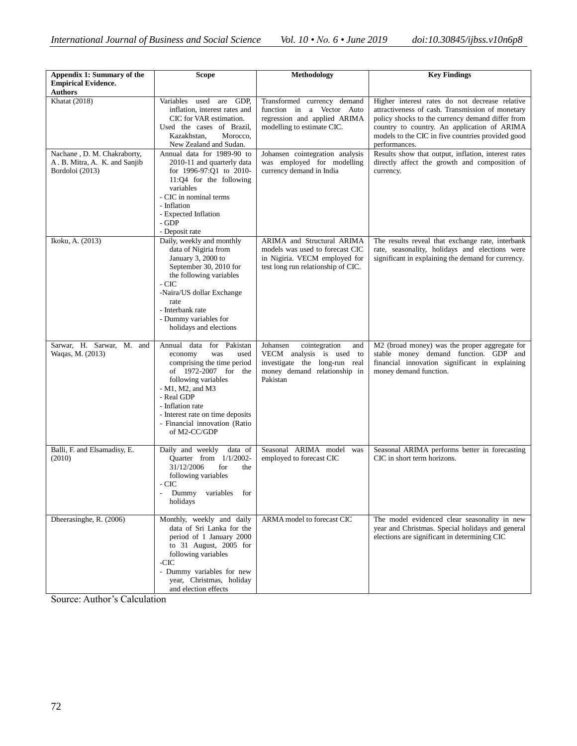| Appendix 1: Summary of the                                                      | <b>Scope</b>                                                                                                                                                                                                                                                                  | Methodology                                                                                                                               | <b>Key Findings</b>                                                                                                                                                                                                                                                         |
|---------------------------------------------------------------------------------|-------------------------------------------------------------------------------------------------------------------------------------------------------------------------------------------------------------------------------------------------------------------------------|-------------------------------------------------------------------------------------------------------------------------------------------|-----------------------------------------------------------------------------------------------------------------------------------------------------------------------------------------------------------------------------------------------------------------------------|
| <b>Empirical Evidence.</b><br><b>Authors</b>                                    |                                                                                                                                                                                                                                                                               |                                                                                                                                           |                                                                                                                                                                                                                                                                             |
| <b>Khatat</b> (2018)                                                            | Variables<br>used are GDP,<br>inflation, interest rates and<br>CIC for VAR estimation.<br>Used the cases of Brazil,<br>Morocco,<br>Kazakhstan,<br>New Zealand and Sudan.                                                                                                      | Transformed currency demand<br>function in a Vector Auto<br>regression and applied ARIMA<br>modelling to estimate CIC.                    | Higher interest rates do not decrease relative<br>attractiveness of cash. Transmission of monetary<br>policy shocks to the currency demand differ from<br>country to country. An application of ARIMA<br>models to the CIC in five countries provided good<br>performances. |
| Nachane, D. M. Chakraborty,<br>A. B. Mitra, A. K. and Sanjib<br>Bordoloi (2013) | Annual data for 1989-90 to<br>2010-11 and quarterly data<br>for 1996-97:Q1 to 2010-<br>11:Q4 for the following<br>variables<br>- CIC in nominal terms<br>- Inflation<br>- Expected Inflation<br>- GDP<br>- Deposit rate                                                       | Johansen cointegration analysis<br>was employed for modelling<br>currency demand in India                                                 | Results show that output, inflation, interest rates<br>directly affect the growth and composition of<br>currency.                                                                                                                                                           |
| Ikoku, A. (2013)                                                                | Daily, weekly and monthly<br>data of Nigiria from<br>January 3, 2000 to<br>September 30, 2010 for<br>the following variables<br>- CIC<br>-Naira/US dollar Exchange<br>rate<br>- Interbank rate<br>- Dummy variables for<br>holidays and elections                             | ARIMA and Structural ARIMA<br>models was used to forecast CIC<br>in Nigiria. VECM employed for<br>test long run relationship of CIC.      | The results reveal that exchange rate, interbank<br>rate, seasonality, holidays and elections were<br>significant in explaining the demand for currency.                                                                                                                    |
| Sarwar, H. Sarwar, M. and<br>Waqas, M. (2013)                                   | Annual data for Pakistan<br>economy<br>was<br>used<br>comprising the time period<br>of 1972-2007 for the<br>following variables<br>$- M1$ , M2, and M3<br>- Real GDP<br>- Inflation rate<br>- Interest rate on time deposits<br>- Financial innovation (Ratio<br>of M2-CC/GDP | Johansen<br>cointegration<br>and<br>VECM analysis is used to<br>investigate the long-run real<br>money demand relationship in<br>Pakistan | M2 (broad money) was the proper aggregate for<br>stable money demand function. GDP and<br>financial innovation significant in explaining<br>money demand function.                                                                                                          |
| Balli, F. and Elsamadisy, E.<br>(2010)                                          | Daily and weekly<br>data of<br>Quarter from 1/1/2002-<br>31/12/2006<br>for<br>the<br>following variables<br>- CIC<br>Dummy<br>variables for<br>holidays                                                                                                                       | Seasonal ARIMA model<br>was<br>employed to forecast CIC                                                                                   | Seasonal ARIMA performs better in forecasting<br>CIC in short term horizons.                                                                                                                                                                                                |
| Dheerasinghe, R. (2006)                                                         | Monthly, weekly and daily<br>data of Sri Lanka for the<br>period of 1 January 2000<br>to 31 August, 2005 for<br>following variables<br>-CIC<br>- Dummy variables for new<br>year, Christmas, holiday<br>and election effects                                                  | ARMA model to forecast CIC                                                                                                                | The model evidenced clear seasonality in new<br>year and Christmas. Special holidays and general<br>elections are significant in determining CIC                                                                                                                            |

Source: Author's Calculation